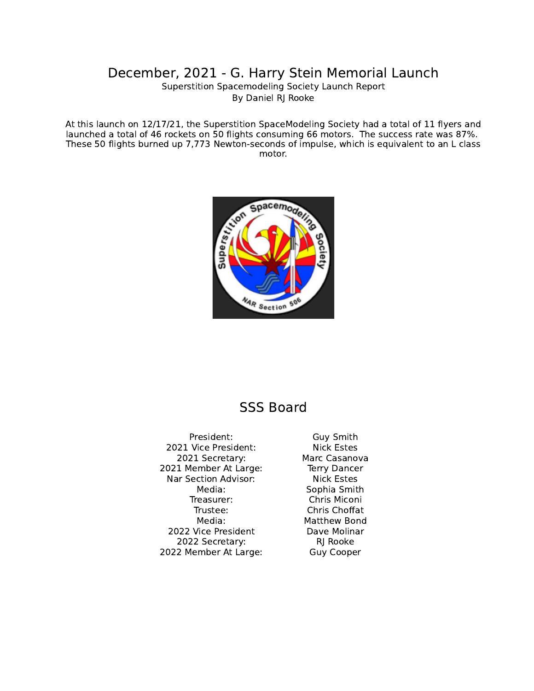## December, 2021 - G. Harry Stein Memorial Launch

Superstition Spacemodeling Society Launch Report By Daniel RJ Rooke

At this launch on 12/17/21, the Superstition SpaceModeling Society had a total of 11 flyers and launched a total of 46 rockets on 50 flights consuming 66 motors. The success rate was 87%. These 50 flights burned up 7,773 Newton-seconds of impulse, which is equivalent to an L class motor.



## SSS Board

President: Guy Smith 2021 Vice President: Nick Estes 2021 Secretary: Marc Casanova 2021 Member At Large: Terry Dancer Nar Section Advisor: Nick Estes Media: Sophia Smith Treasurer: Chris Miconi Trustee: Chris Choffat Media: Matthew Bond 2022 Vice President Dave Molinar 2022 Secretary: RJ Rooke 2022 Member At Large: Guy Cooper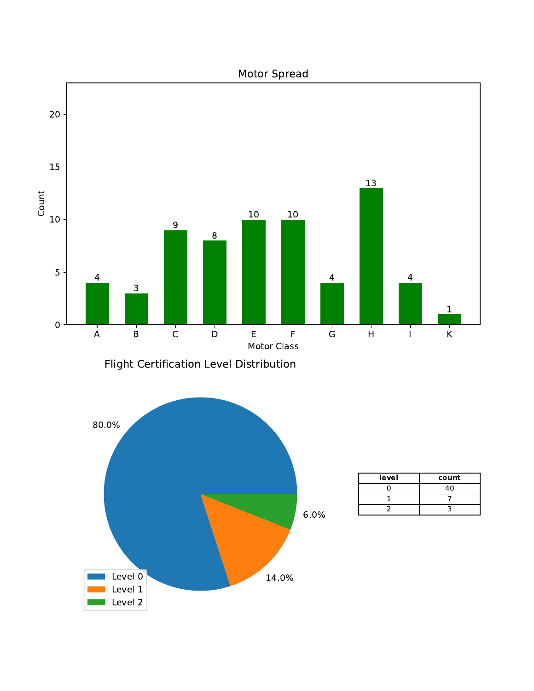